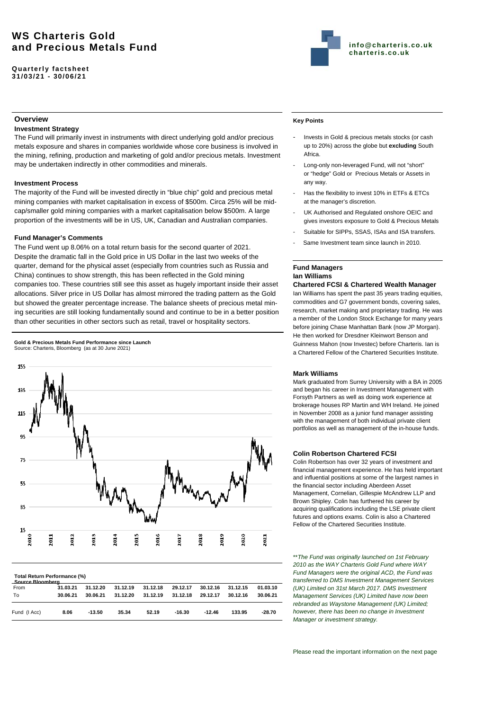# **WS Charteris Gold and Precious Metals Fund**

**Quarterly factsheet 31/03/21 - 30/06/21** 



# **Overview**

# **Investment Strategy**

The Fund will primarily invest in instruments with direct underlying gold and/or precious metals exposure and shares in companies worldwide whose core business is involved in the mining, refining, production and marketing of gold and/or precious metals. Investment may be undertaken indirectly in other commodities and minerals.

### **Investment Process**

The majority of the Fund will be invested directly in "blue chip" gold and precious metal mining companies with market capitalisation in excess of \$500m. Circa 25% will be midcap/smaller gold mining companies with a market capitalisation below \$500m. A large proportion of the investments will be in US, UK, Canadian and Australian companies.

# **Fund Manager's Comments**

The Fund went up 8.06% on a total return basis for the second quarter of 2021. Despite the dramatic fall in the Gold price in US Dollar in the last two weeks of the quarter, demand for the physical asset (especially from countries such as Russia and China) continues to show strength, this has been reflected in the Gold mining companies too. These countries still see this asset as hugely important inside their asset allocations. Silver price in US Dollar has almost mirrored the trading pattern as the Gold but showed the greater percentage increase. The balance sheets of precious metal mining securities are still looking fundamentally sound and continue to be in a better position than other securities in other sectors such as retail, travel or hospitality sectors.





| Total Return Performance (%)<br>Source Bloomberg |          |          |          |          |          |          |          |          |
|--------------------------------------------------|----------|----------|----------|----------|----------|----------|----------|----------|
| From                                             | 31.03.21 | 31.12.20 | 31.12.19 | 31.12.18 | 29.12.17 | 30.12.16 | 31.12.15 | 01.03.10 |
| To                                               | 30.06.21 | 30.06.21 | 31.12.20 | 31.12.19 | 31.12.18 | 29.12.17 | 30.12.16 | 30.06.21 |
| Fund (I Acc)                                     | 8.06     | $-13.50$ | 35.34    | 52.19    | $-16.30$ | $-12.46$ | 133.95   | $-28.70$ |

# **Key Points**

- Invests in Gold & precious metals stocks (or cash up to 20%) across the globe but **excluding** South Africa.
- Long-only non-leveraged Fund, will not "short" or "hedge" Gold or Precious Metals or Assets in any way.
- Has the flexibility to invest 10% in ETFs & ETCs at the manager's discretion.
- UK Authorised and Regulated onshore OEIC and gives investors exposure to Gold & Precious Metals
- Suitable for SIPPs, SSAS, ISAs and ISA transfers.
- Same Investment team since launch in 2010.

# **Fund Managers Ian Williams Chartered FCSI & Chartered Wealth Manager**

Ian Williams has spent the past 35 years trading equities, commodities and G7 government bonds, covering sales, research, market making and proprietary trading. He was a member of the London Stock Exchange for many years before joining Chase Manhattan Bank (now JP Morgan). He then worked for Dresdner Kleinwort Benson and Guinness Mahon (now Investec) before Charteris. Ian is a Chartered Fellow of the Chartered Securities Institute.

# **Mark Williams**

Mark graduated from Surrey University with a BA in 2005 and began his career in Investment Management with Forsyth Partners as well as doing work experience at brokerage houses RP Martin and WH Ireland. He joined in November 2008 as a junior fund manager assisting with the management of both individual private client portfolios as well as management of the in-house funds.

### **Colin Robertson Chartered FCSI**

Colin Robertson has over 32 years of investment and financial management experience. He has held important and influential positions at some of the largest names in the financial sector including Aberdeen Asset Management, Cornelian, Gillespie McAndrew LLP and Brown Shipley. Colin has furthered his career by acquiring qualifications including the LSE private client futures and options exams. Colin is also a Chartered Fellow of the Chartered Securities Institute.

\*\**The Fund was originally launched on 1st February 2010 as the WAY Charteris Gold Fund where WAY Fund Managers were the original ACD, the Fund was transferred to DMS Investment Management Services (UK) Limited on 31st March 2017. DMS Investment Management Services (UK) Limited have now been rebranded as Waystone Management (UK) Limited; however, there has been no change in Investment Manager or investment strategy.*